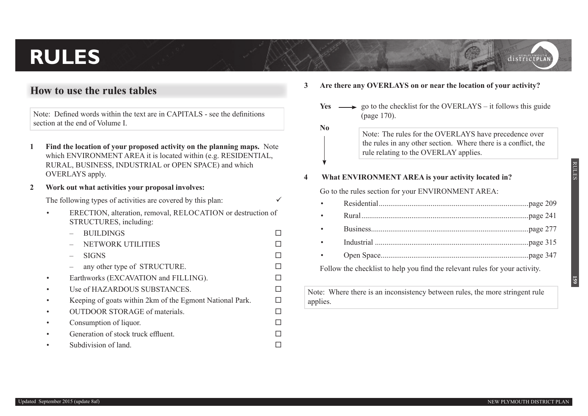# **RULES**

## **How to use the rules tables**

Note: Defined words within the text are in CAPITALS - see the definitions section at the end of Volume I.

- **1 Find the location of your proposed activity on the planning maps.** Note which ENVIRONMENT AREA it is located within (e.g. RESIDENTIAL, RURAL, BUSINESS, INDUSTRIAL or OPEN SPACE) and which OVERLAYS apply.
- **2 Work out what activities your proposal involves:**

The following types of activities are covered by this plan:  $\checkmark$ 

- ERECTION, alteration, removal, RELOCATION or destruction of STRUCTURES, including:
	- BUILDINGS
	- NETWORK UTILITIES
	- SIGNS
	- any other type of STRUCTURE.  $\Box$
- Earthworks (EXCAVATION and FILLING).
- Use of HAZARDOUS SUBSTANCES.
- Keeping of goats within  $2km$  of the Egmont National Park.  $\square$
- OUTDOOR STORAGE of materials.
- Consumption of liquor.
- Generation of stock truck effluent.  $\Box$
- $\Box$  Subdivision of land.
- **3 Are there any OVERLAYS on or near the location of your activity?** 
	- **Yes**  $\longrightarrow$  go to the checklist for the OVERLAYS it follows this guide (page 170).
		- Note: The rules for the OVERLAYS have precedence over the rules in any other section. Where there is a conflict, the rule relating to the OVERLAY applies.

#### **4 What ENVIRONMENT AREA is your activity located in?**

**No**

Go to the rules section for your ENVIRONMENT AREA:

Follow the checklist to help you find the relevant rules for your activity.

Note: Where there is an inconsistency between rules, the more stringent rule applies.

districtPLAN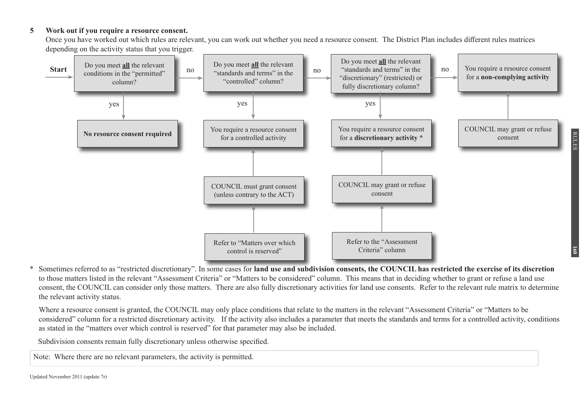#### **5 Work out if you require a resource consent.**

Once you have worked out which rules are relevant, you can work out whether you need a resource consent. The District Plan includes different rules matrices depending on the activity status that you trigger.



RULES

**160**

Sometimes referred to as "restricted discretionary". In some cases for **land use and subdivision consents, the COUNCIL has restricted the exercise of its discretion** to those matters listed in the relevant "Assessment Criteria" or "Matters to be considered" column. This means that in deciding whether to grant or refuse a land use consent, the COUNCIL can consider only those matters. There are also fully discretionary activities for land use consents. Refer to the relevant rule matrix to determine the relevant activity status.

Where a resource consent is granted, the COUNCIL may only place conditions that relate to the matters in the relevant "Assessment Criteria" or "Matters to be considered" column for a restricted discretionary activity. If the activity also includes a parameter that meets the standards and terms for a controlled activity, conditions as stated in the "matters over which control is reserved" for that parameter may also be included.

Subdivision consents remain fully discretionary unless otherwise specified.

Note: Where there are no relevant parameters, the activity is permitted.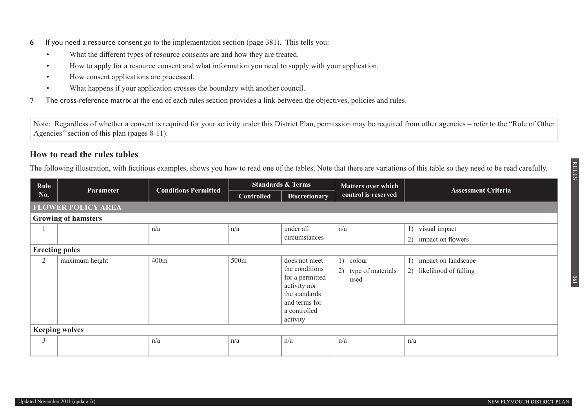- **6** If you need a resource consent go to the implementation section (page 381). This tells you:
	- What the different types of resource consents are and how they are treated.
	- How to apply for a resource consent and what information you need to supply with your application.
	- How consent applications are processed.
	- What happens if your application crosses the boundary with another council.
- **7** The cross-reference matrix at the end of each rules section provides a link between the objectives, policies and rules.

Note: Regardless of whether a consent is required for your activity under this District Plan, permission may be required from other agencies – refer to the "Role of Other Agencies" section of this plan (pages 8-11).

## **How to read the rules tables**

The following illustration, with fictitious examples, shows you how to read one of the tables. Note that there are variations of this table so they need to be read carefully.

| Rule                  | <b>Standards &amp; Terms</b> |                             | <b>Matters over which</b> |                                                                                                                                  |                                           |                                                    |
|-----------------------|------------------------------|-----------------------------|---------------------------|----------------------------------------------------------------------------------------------------------------------------------|-------------------------------------------|----------------------------------------------------|
| No.                   | <b>Parameter</b>             | <b>Conditions Permitted</b> | <b>Controlled</b>         | <b>Discretionary</b>                                                                                                             | control is reserved                       | <b>Assessment Criteria</b>                         |
|                       | <b>FLOWER POLICY AREA</b>    |                             |                           |                                                                                                                                  |                                           |                                                    |
|                       | <b>Growing of hamsters</b>   |                             |                           |                                                                                                                                  |                                           |                                                    |
|                       |                              | n/a                         | n/a                       | under all<br>circumstances                                                                                                       | n/a                                       | 1) visual impact<br>2) impact on flowers           |
| <b>Erecting poles</b> |                              |                             |                           |                                                                                                                                  |                                           |                                                    |
| $\overline{2}$        | maximum height               | 400m                        | 500m                      | does not meet<br>the conditions<br>for a permitted<br>activity nor<br>the standards<br>and terms for<br>a controlled<br>activity | 1) colour<br>2) type of materials<br>used | 1) impact on landscape<br>2) likelihood of falling |
|                       | <b>Keeping wolves</b>        |                             |                           |                                                                                                                                  |                                           |                                                    |
| 3                     |                              | n/a                         | n/a                       | n/a                                                                                                                              | n/a                                       | n/a                                                |

RULES

**161**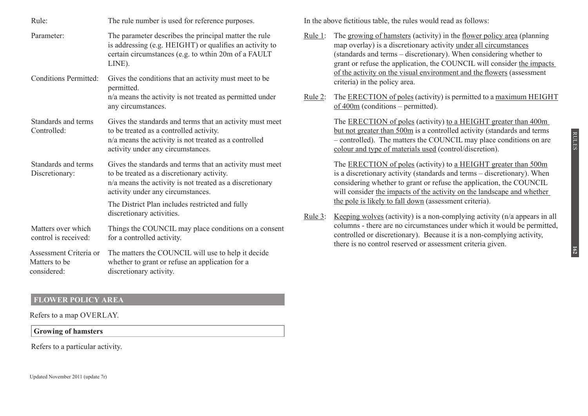| Rule:                                                  | The rule number is used for reference purposes.                                                                                                                                                                                                                                         |
|--------------------------------------------------------|-----------------------------------------------------------------------------------------------------------------------------------------------------------------------------------------------------------------------------------------------------------------------------------------|
| Parameter:                                             | The parameter describes the principal matter the rule<br>is addressing (e.g. HEIGHT) or qualifies an activity to<br>certain circumstances (e.g. to wthin 20m of a FAULT<br>LINE).                                                                                                       |
| <b>Conditions Permitted:</b>                           | Gives the conditions that an activity must meet to be<br>permitted.<br>n/a means the activity is not treated as permitted under<br>any circumstances.                                                                                                                                   |
| Standards and terms<br>Controlled:                     | Gives the standards and terms that an activity must meet<br>to be treated as a controlled activity.<br>n/a means the activity is not treated as a controlled<br>activity under any circumstances.                                                                                       |
| Standards and terms<br>Discretionary:                  | Gives the standards and terms that an activity must meet<br>to be treated as a discretionary activity.<br>n/a means the activity is not treated as a discretionary<br>activity under any circumstances.<br>The District Plan includes restricted and fully<br>discretionary activities. |
| Matters over which<br>control is received:             | Things the COUNCIL may place conditions on a consent<br>for a controlled activity.                                                                                                                                                                                                      |
| Assessment Criteria or<br>Matters to be<br>considered: | The matters the COUNCIL will use to help it decide<br>whether to grant or refuse an application for a<br>discretionary activity.                                                                                                                                                        |

## **FLOWER POLICY AREA**

Refers to a map OVERLAY.

### **Growing of hamsters**

Refers to a particular activity.

In the above fictitious table, the rules would read as follows:

- Rule 1: The growing of hamsters (activity) in the flower policy area (planning map overlay) is a discretionary activity under all circumstances (standards and terms – discretionary). When considering whether to grant or refuse the application, the COUNCIL will consider the impacts of the activity on the visual environment and the flowers (assessment criteria) in the policy area.
- Rule 2: The ERECTION of poles (activity) is permitted to a maximum HEIGHT of 400m (conditions – permitted).

The ERECTION of poles (activity) to a HEIGHT greater than 400m but not greater than 500m is a controlled activity (standards and terms – controlled). The matters the COUNCIL may place conditions on are colour and type of materials used (control/discretion).

The ERECTION of poles (activity) to a HEIGHT greater than 500m is a discretionary activity (standards and terms – discretionary). When considering whether to grant or refuse the application, the COUNCIL will consider the impacts of the activity on the landscape and whether the pole is likely to fall down (assessment criteria).

Rule 3: Keeping wolves (activity) is a non-complying activity  $(n/a)$  appears in all columns - there are no circumstances under which it would be permitted, controlled or discretionary). Because it is a non-complying activity, there is no control reserved or assessment criteria given.

**162**

RULES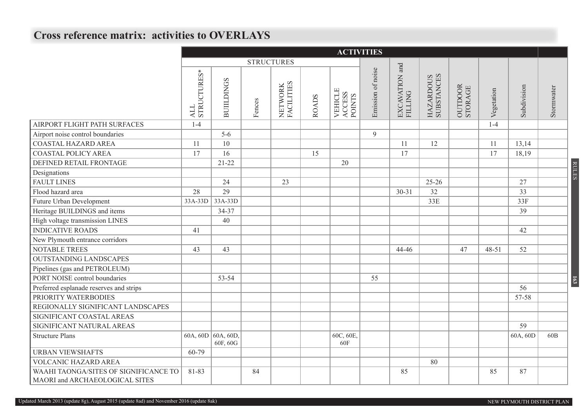# **Cross reference matrix: activities to OVERLAYS**

|                                                                         |                    | <b>ACTIVITIES</b>              |        |                       |              |                                    |                   |                           |                         |                    |            |             |                 |                  |
|-------------------------------------------------------------------------|--------------------|--------------------------------|--------|-----------------------|--------------|------------------------------------|-------------------|---------------------------|-------------------------|--------------------|------------|-------------|-----------------|------------------|
|                                                                         |                    |                                |        | <b>STRUCTURES</b>     |              |                                    |                   |                           |                         |                    |            |             |                 |                  |
|                                                                         | ALL<br>STRUCTURES* | <b>BUILDINGS</b>               | Fences | NETWORK<br>FACILITIES | <b>ROADS</b> | <b>VEHICLE</b><br>ACCESS<br>POINTS | Emission of noise | EXCAVATION and<br>FILLING | HAZARDOUS<br>SUBSTANCES | OUTDOOR<br>STORAGE | Vegetation | Subdivision | Stormwater      |                  |
| AIRPORT FLIGHT PATH SURFACES                                            | $1-4$              |                                |        |                       |              |                                    |                   |                           |                         |                    | $1 - 4$    |             |                 |                  |
| Airport noise control boundaries                                        |                    | $5 - 6$                        |        |                       |              |                                    | 9                 |                           |                         |                    |            |             |                 |                  |
| <b>COASTAL HAZARD AREA</b>                                              | 11                 | 10                             |        |                       |              |                                    |                   | 11                        | 12                      |                    | 11         | 13,14       |                 |                  |
| <b>COASTAL POLICY AREA</b>                                              | 17                 | 16                             |        |                       | 15           |                                    |                   | 17                        |                         |                    | 17         | 18,19       |                 |                  |
| DEFINED RETAIL FRONTAGE                                                 |                    | $21 - 22$                      |        |                       |              | 20                                 |                   |                           |                         |                    |            |             |                 |                  |
| Designations                                                            |                    |                                |        |                       |              |                                    |                   |                           |                         |                    |            |             |                 | <b>RULES</b>     |
| <b>FAULT LINES</b>                                                      |                    | 24                             |        | 23                    |              |                                    |                   |                           | $25 - 26$               |                    |            | 27          |                 |                  |
| Flood hazard area                                                       | 28                 | 29                             |        |                       |              |                                    |                   | $30 - 31$                 | 32                      |                    |            | 33          |                 |                  |
| Future Urban Development                                                | 33A-33D            | $33A-33D$                      |        |                       |              |                                    |                   |                           | 33E                     |                    |            | 33F         |                 |                  |
| Heritage BUILDINGS and items                                            |                    | 34-37                          |        |                       |              |                                    |                   |                           |                         |                    |            | 39          |                 |                  |
| High voltage transmission LINES                                         |                    | 40                             |        |                       |              |                                    |                   |                           |                         |                    |            |             |                 |                  |
| <b>INDICATIVE ROADS</b>                                                 | 41                 |                                |        |                       |              |                                    |                   |                           |                         |                    |            | 42          |                 |                  |
| New Plymouth entrance corridors                                         |                    |                                |        |                       |              |                                    |                   |                           |                         |                    |            |             |                 |                  |
| <b>NOTABLE TREES</b>                                                    | 43                 | 43                             |        |                       |              |                                    |                   | 44-46                     |                         | 47                 | $48 - 51$  | 52          |                 |                  |
| <b>OUTSTANDING LANDSCAPES</b>                                           |                    |                                |        |                       |              |                                    |                   |                           |                         |                    |            |             |                 |                  |
| Pipelines (gas and PETROLEUM)                                           |                    |                                |        |                       |              |                                    |                   |                           |                         |                    |            |             |                 |                  |
| PORT NOISE control boundaries                                           |                    | 53-54                          |        |                       |              |                                    | 55                |                           |                         |                    |            |             |                 | $\overline{163}$ |
| Preferred esplanade reserves and strips                                 |                    |                                |        |                       |              |                                    |                   |                           |                         |                    |            | 56          |                 |                  |
| PRIORITY WATERBODIES                                                    |                    |                                |        |                       |              |                                    |                   |                           |                         |                    |            | 57-58       |                 |                  |
| REGIONALLY SIGNIFICANT LANDSCAPES                                       |                    |                                |        |                       |              |                                    |                   |                           |                         |                    |            |             |                 |                  |
| SIGNIFICANT COASTAL AREAS                                               |                    |                                |        |                       |              |                                    |                   |                           |                         |                    |            |             |                 |                  |
| SIGNIFICANT NATURAL AREAS                                               |                    |                                |        |                       |              |                                    |                   |                           |                         |                    |            | 59          |                 |                  |
| <b>Structure Plans</b>                                                  |                    | 60A, 60D 60A, 60D,<br>60F, 60G |        |                       |              | 60C, 60E,<br>60F                   |                   |                           |                         |                    |            | 60A, 60D    | 60 <sub>B</sub> |                  |
| <b>URBAN VIEWSHAFTS</b>                                                 | 60-79              |                                |        |                       |              |                                    |                   |                           |                         |                    |            |             |                 |                  |
| VOLCANIC HAZARD AREA                                                    |                    |                                |        |                       |              |                                    |                   |                           | 80                      |                    |            |             |                 |                  |
| WAAHI TAONGA/SITES OF SIGNIFICANCE TO<br>MAORI and ARCHAEOLOGICAL SITES | 81-83              |                                | 84     |                       |              |                                    |                   | 85                        |                         |                    | 85         | 87          |                 |                  |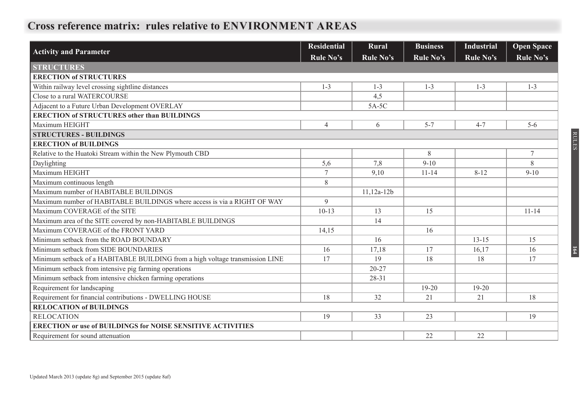# **Cross reference matrix: rules relative to ENVIRONMENT AREAS**

| <b>Activity and Parameter</b>                                                 | <b>Residential</b> | Rural        | <b>Business</b> | <b>Industrial</b> | <b>Open Space</b> |
|-------------------------------------------------------------------------------|--------------------|--------------|-----------------|-------------------|-------------------|
|                                                                               | Rule No's          | Rule No's    | Rule No's       | <b>Rule No's</b>  | <b>Rule No's</b>  |
| <b>STRUCTURES</b>                                                             |                    |              |                 |                   |                   |
| <b>ERECTION of STRUCTURES</b>                                                 |                    |              |                 |                   |                   |
| Within railway level crossing sightline distances                             | $1 - 3$            | $1 - 3$      | $1 - 3$         | $1 - 3$           | $1 - 3$           |
| Close to a rural WATERCOURSE                                                  |                    | 4,5          |                 |                   |                   |
| Adjacent to a Future Urban Development OVERLAY                                |                    | 5A-5C        |                 |                   |                   |
| <b>ERECTION of STRUCTURES other than BUILDINGS</b>                            |                    |              |                 |                   |                   |
| Maximum HEIGHT                                                                | $\overline{4}$     | 6            | $5 - 7$         | $4 - 7$           | $5-6$             |
| <b>STRUCTURES - BUILDINGS</b>                                                 |                    |              |                 |                   |                   |
| <b>ERECTION of BUILDINGS</b>                                                  |                    |              |                 |                   |                   |
| Relative to the Huatoki Stream within the New Plymouth CBD                    |                    |              | 8               |                   | $\tau$            |
| Daylighting                                                                   | 5,6                | 7,8          | $9 - 10$        |                   | 8                 |
| Maximum HEIGHT                                                                | 7                  | 9,10         | $11 - 14$       | $8 - 12$          | $9 - 10$          |
| Maximum continuous length                                                     | 8                  |              |                 |                   |                   |
| Maximum number of HABITABLE BUILDINGS                                         |                    | $11,12a-12b$ |                 |                   |                   |
| Maximum number of HABITABLE BUILDINGS where access is via a RIGHT OF WAY      | 9                  |              |                 |                   |                   |
| Maximum COVERAGE of the SITE                                                  | $10-13$            | 13           | 15              |                   | $11 - 14$         |
| Maximum area of the SITE covered by non-HABITABLE BUILDINGS                   |                    | 14           |                 |                   |                   |
| Maximum COVERAGE of the FRONT YARD                                            | 14,15              |              | 16              |                   |                   |
| Minimum setback from the ROAD BOUNDARY                                        |                    | 16           |                 | $13 - 15$         | 15                |
| Minimum setback from SIDE BOUNDARIES                                          | 16                 | 17,18        | 17              | 16,17             | 16                |
| Minimum setback of a HABITABLE BUILDING from a high voltage transmission LINE | 17                 | 19           | 18              | 18                | 17                |
| Minimum setback from intensive pig farming operations                         |                    | $20 - 27$    |                 |                   |                   |
| Minimum setback from intensive chicken farming operations                     |                    | 28-31        |                 |                   |                   |
| Requirement for landscaping                                                   |                    |              | $19 - 20$       | $19-20$           |                   |
| Requirement for financial contributions - DWELLING HOUSE                      | 18                 | 32           | 21              | 21                | 18                |
| <b>RELOCATION of BUILDINGS</b>                                                |                    |              |                 |                   |                   |
| <b>RELOCATION</b>                                                             | 19                 | 33           | 23              |                   | 19                |
| <b>ERECTION or use of BUILDINGS for NOISE SENSITIVE ACTIVITIES</b>            |                    |              |                 |                   |                   |
| Requirement for sound attenuation                                             |                    |              | 22              | 22                |                   |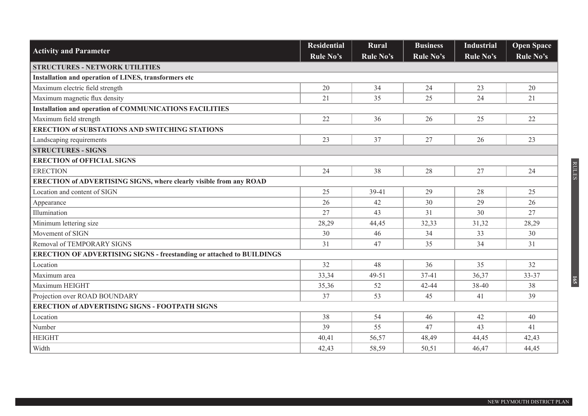|                                                                              | <b>Residential</b> | Rural     | <b>Business</b> | <b>Industrial</b> | <b>Open Space</b> |
|------------------------------------------------------------------------------|--------------------|-----------|-----------------|-------------------|-------------------|
| <b>Activity and Parameter</b>                                                | <b>Rule No's</b>   | Rule No's | Rule No's       | <b>Rule No's</b>  | Rule No's         |
| <b>STRUCTURES - NETWORK UTILITIES</b>                                        |                    |           |                 |                   |                   |
| Installation and operation of LINES, transformers etc                        |                    |           |                 |                   |                   |
| Maximum electric field strength                                              | 20                 | 34        | 24              | 23                | 20                |
| Maximum magnetic flux density                                                | 21                 | 35        | 25              | 24                | 21                |
| <b>Installation and operation of COMMUNICATIONS FACILITIES</b>               |                    |           |                 |                   |                   |
| Maximum field strength                                                       | 22                 | 36        | 26              | 25                | 22                |
| <b>ERECTION of SUBSTATIONS AND SWITCHING STATIONS</b>                        |                    |           |                 |                   |                   |
| Landscaping requirements                                                     | 23                 | 37        | 27              | 26                | 23                |
| <b>STRUCTURES - SIGNS</b>                                                    |                    |           |                 |                   |                   |
| <b>ERECTION of OFFICIAL SIGNS</b>                                            |                    |           |                 |                   |                   |
| <b>ERECTION</b>                                                              | 24                 | 38        | 28              | 27                | 24                |
| <b>ERECTION of ADVERTISING SIGNS, where clearly visible from any ROAD</b>    |                    |           |                 |                   |                   |
| Location and content of SIGN                                                 | 25                 | 39-41     | 29              | 28                | 25                |
| Appearance                                                                   | 26                 | 42        | 30              | 29                | 26                |
| Illumination                                                                 | 27                 | 43        | 31              | 30                | 27                |
| Minimum lettering size                                                       | 28,29              | 44,45     | 32,33           | 31,32             | 28,29             |
| Movement of SIGN                                                             | 30                 | 46        | 34              | 33                | 30                |
| Removal of TEMPORARY SIGNS                                                   | 31                 | 47        | 35              | 34                | 31                |
| <b>ERECTION OF ADVERTISING SIGNS - freestanding or attached to BUILDINGS</b> |                    |           |                 |                   |                   |
| Location                                                                     | 32                 | 48        | 36              | 35                | 32                |
| Maximum area                                                                 | 33,34              | 49-51     | 37-41           | 36,37             | 33-37             |
| Maximum HEIGHT                                                               | 35,36              | 52        | 42-44           | 38-40             | 38                |
| Projection over ROAD BOUNDARY                                                | 37                 | 53        | 45              | 41                | 39                |
| <b>ERECTION of ADVERTISING SIGNS - FOOTPATH SIGNS</b>                        |                    |           |                 |                   |                   |
| Location                                                                     | 38                 | 54        | 46              | 42                | 40                |
| Number                                                                       | 39                 | 55        | 47              | 43                | 41                |
| <b>HEIGHT</b>                                                                | 40,41              | 56,57     | 48,49           | 44,45             | 42,43             |
| Width                                                                        | 42,43              | 58,59     | 50,51           | 46,47             | 44,45             |

RULES

**165**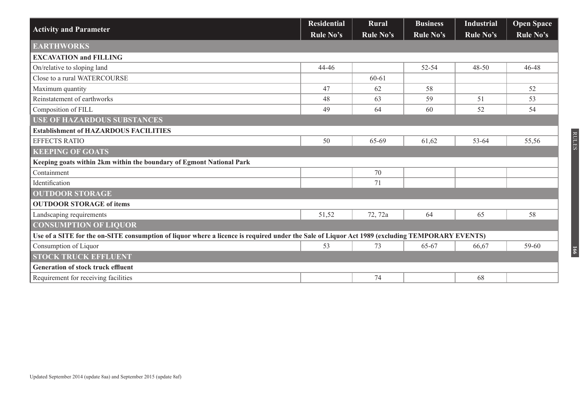|                                                                                                                                                | <b>Residential</b> | <b>Rural</b> | <b>Business</b> | <b>Industrial</b> | <b>Open Space</b> |
|------------------------------------------------------------------------------------------------------------------------------------------------|--------------------|--------------|-----------------|-------------------|-------------------|
| <b>Activity and Parameter</b>                                                                                                                  | Rule No's          | Rule No's    | Rule No's       | Rule No's         | Rule No's         |
| <b>EARTHWORKS</b>                                                                                                                              |                    |              |                 |                   |                   |
| <b>EXCAVATION and FILLING</b>                                                                                                                  |                    |              |                 |                   |                   |
| On/relative to sloping land                                                                                                                    | 44-46              |              | 52-54           | $48 - 50$         | 46-48             |
| Close to a rural WATERCOURSE                                                                                                                   |                    | $60 - 61$    |                 |                   |                   |
| Maximum quantity                                                                                                                               | 47                 | 62           | 58              |                   | 52                |
| Reinstatement of earthworks                                                                                                                    | 48                 | 63           | 59              | 51                | 53                |
| Composition of FILL                                                                                                                            | 49                 | 64           | 60              | 52                | 54                |
| <b>USE OF HAZARDOUS SUBSTANCES</b>                                                                                                             |                    |              |                 |                   |                   |
| <b>Establishment of HAZARDOUS FACILITIES</b>                                                                                                   |                    |              |                 |                   |                   |
| <b>EFFECTS RATIO</b>                                                                                                                           | 50                 | 65-69        | 61,62           | 53-64             | 55,56             |
| <b>KEEPING OF GOATS</b>                                                                                                                        |                    |              |                 |                   |                   |
| Keeping goats within 2km within the boundary of Egmont National Park                                                                           |                    |              |                 |                   |                   |
| Containment                                                                                                                                    |                    | 70           |                 |                   |                   |
| Identification                                                                                                                                 |                    | 71           |                 |                   |                   |
| <b>OUTDOOR STORAGE</b>                                                                                                                         |                    |              |                 |                   |                   |
| <b>OUTDOOR STORAGE of items</b>                                                                                                                |                    |              |                 |                   |                   |
| Landscaping requirements                                                                                                                       | 51,52              | 72, 72a      | 64              | 65                | 58                |
| <b>CONSUMPTION OF LIQUOR</b>                                                                                                                   |                    |              |                 |                   |                   |
| Use of a SITE for the on-SITE consumption of liquor where a licence is required under the Sale of Liquor Act 1989 (excluding TEMPORARY EVENTS) |                    |              |                 |                   |                   |
| Consumption of Liquor                                                                                                                          | 53                 | 73           | 65-67           | 66,67             | 59-60             |
| <b>STOCK TRUCK EFFLUENT</b>                                                                                                                    |                    |              |                 |                   |                   |
| <b>Generation of stock truck effluent</b>                                                                                                      |                    |              |                 |                   |                   |
| Requirement for receiving facilities                                                                                                           |                    | 74           |                 | 68                |                   |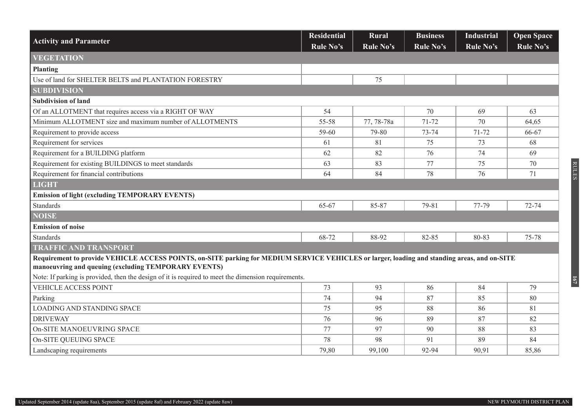| <b>Activity and Parameter</b>                                                                                                                                                                        | <b>Residential</b><br><b>Rule No's</b> | Rural<br>Rule No's | <b>Business</b><br>Rule No's | <b>Industrial</b><br>Rule No's | <b>Open Space</b><br>Rule No's |
|------------------------------------------------------------------------------------------------------------------------------------------------------------------------------------------------------|----------------------------------------|--------------------|------------------------------|--------------------------------|--------------------------------|
| <b>VEGETATION</b>                                                                                                                                                                                    |                                        |                    |                              |                                |                                |
| <b>Planting</b>                                                                                                                                                                                      |                                        |                    |                              |                                |                                |
| Use of land for SHELTER BELTS and PLANTATION FORESTRY                                                                                                                                                |                                        | 75                 |                              |                                |                                |
| <b>SUBDIVISION</b>                                                                                                                                                                                   |                                        |                    |                              |                                |                                |
| <b>Subdivision of land</b>                                                                                                                                                                           |                                        |                    |                              |                                |                                |
| Of an ALLOTMENT that requires access via a RIGHT OF WAY                                                                                                                                              | 54                                     |                    | 70                           | 69                             | 63                             |
| Minimum ALLOTMENT size and maximum number of ALLOTMENTS                                                                                                                                              | 55-58                                  | 77, 78-78a         | 71-72                        | 70                             | 64,65                          |
| Requirement to provide access                                                                                                                                                                        | 59-60                                  | 79-80              | 73-74                        | 71-72                          | 66-67                          |
| Requirement for services                                                                                                                                                                             | 61                                     | 81                 | 75                           | 73                             | 68                             |
| Requirement for a BUILDING platform                                                                                                                                                                  | 62                                     | 82                 | 76                           | 74                             | 69                             |
| Requirement for existing BUILDINGS to meet standards                                                                                                                                                 | 63                                     | 83                 | 77                           | 75                             | 70                             |
| Requirement for financial contributions                                                                                                                                                              | 64                                     | 84                 | 78                           | 76                             | 71                             |
| <b>LIGHT</b>                                                                                                                                                                                         |                                        |                    |                              |                                |                                |
| <b>Emission of light (excluding TEMPORARY EVENTS)</b>                                                                                                                                                |                                        |                    |                              |                                |                                |
| <b>Standards</b>                                                                                                                                                                                     | 65-67                                  | 85-87              | 79-81                        | 77-79                          | 72-74                          |
| <b>NOISE</b>                                                                                                                                                                                         |                                        |                    |                              |                                |                                |
| <b>Emission of noise</b>                                                                                                                                                                             |                                        |                    |                              |                                |                                |
| <b>Standards</b>                                                                                                                                                                                     | 68-72                                  | 88-92              | 82-85                        | 80-83                          | 75-78                          |
| <b>TRAFFIC AND TRANSPORT</b>                                                                                                                                                                         |                                        |                    |                              |                                |                                |
| Requirement to provide VEHICLE ACCESS POINTS, on-SITE parking for MEDIUM SERVICE VEHICLES or larger, loading and standing areas, and on-SITE<br>manoeuvring and queuing (excluding TEMPORARY EVENTS) |                                        |                    |                              |                                |                                |
| Note: If parking is provided, then the design of it is required to meet the dimension requirements.                                                                                                  |                                        |                    |                              |                                |                                |
| <b>VEHICLE ACCESS POINT</b>                                                                                                                                                                          | 73                                     | 93                 | 86                           | 84                             | 79                             |
| Parking                                                                                                                                                                                              | 74                                     | 94                 | 87                           | 85                             | 80                             |
| <b>LOADING AND STANDING SPACE</b>                                                                                                                                                                    | 75                                     | 95                 | 88                           | 86                             | 81                             |
| <b>DRIVEWAY</b>                                                                                                                                                                                      | 76                                     | 96                 | 89                           | 87                             | 82                             |
| On-SITE MANOEUVRING SPACE                                                                                                                                                                            | 77                                     | 97                 | 90                           | 88                             | 83                             |
| On-SITE QUEUING SPACE                                                                                                                                                                                | 78                                     | 98                 | 91                           | 89                             | 84                             |
| Landscaping requirements                                                                                                                                                                             | 79,80                                  | 99,100             | 92-94                        | 90,91                          | 85,86                          |